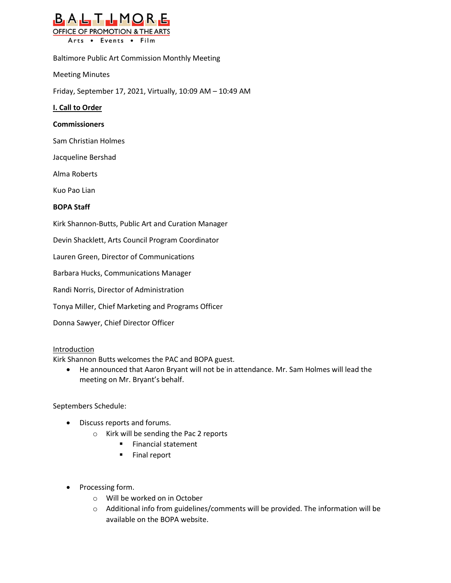

Baltimore Public Art Commission Monthly Meeting

Meeting Minutes

Friday, September 17, 2021, Virtually, 10:09 AM – 10:49 AM

# **I. Call to Order**

### **Commissioners**

Sam Christian Holmes

Jacqueline Bershad

Alma Roberts

Kuo Pao Lian

# **BOPA Staff**

Kirk Shannon-Butts, Public Art and Curation Manager

Devin Shacklett, Arts Council Program Coordinator

Lauren Green, Director of Communications

Barbara Hucks, Communications Manager

Randi Norris, Director of Administration

Tonya Miller, Chief Marketing and Programs Officer

Donna Sawyer, Chief Director Officer

### Introduction

Kirk Shannon Butts welcomes the PAC and BOPA guest.

• He announced that Aaron Bryant will not be in attendance. Mr. Sam Holmes will lead the meeting on Mr. Bryant's behalf.

### Septembers Schedule:

- Discuss reports and forums.
	- o Kirk will be sending the Pac 2 reports
		- Financial statement
		- Final report
- Processing form.
	- o Will be worked on in October
	- $\circ$  Additional info from guidelines/comments will be provided. The information will be available on the BOPA website.